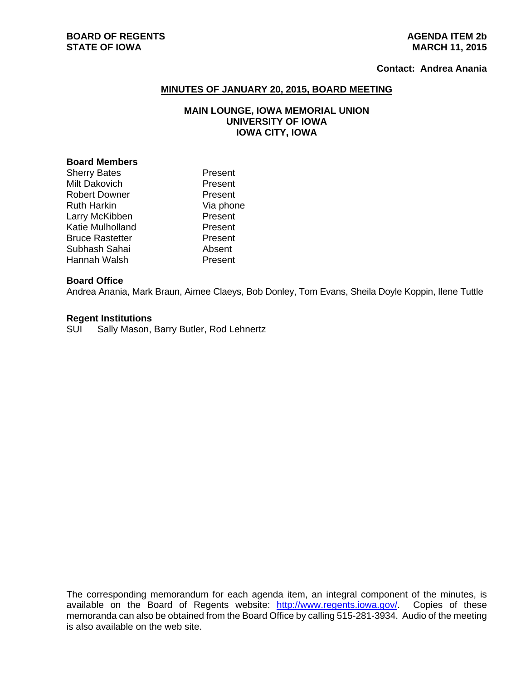# **BOARD OF REGENTS** AGENUS AGENDA ITEM 2b **STATE OF IOWA** MARCH 11, 2015

### **Contact: Andrea Anania**

### **MINUTES OF JANUARY 20, 2015, BOARD MEETING**

# **MAIN LOUNGE, IOWA MEMORIAL UNION UNIVERSITY OF IOWA IOWA CITY, IOWA**

## **Board Members**

| <b>Sherry Bates</b>    | Present   |
|------------------------|-----------|
| <b>Milt Dakovich</b>   | Present   |
| <b>Robert Downer</b>   | Present   |
| <b>Ruth Harkin</b>     | Via phone |
| Larry McKibben         | Present   |
| Katie Mulholland       | Present   |
| <b>Bruce Rastetter</b> | Present   |
| Subhash Sahai          | Absent    |
| Hannah Walsh           | Present   |

# **Board Office**

Andrea Anania, Mark Braun, Aimee Claeys, Bob Donley, Tom Evans, Sheila Doyle Koppin, Ilene Tuttle

### **Regent Institutions**

SUI Sally Mason, Barry Butler, Rod Lehnertz

The corresponding memorandum for each agenda item, an integral component of the minutes, is available on the Board of Regents website: http://www.regents.iowa.gov/. Copies of these memoranda can also be obtained from the Board Office by calling 515-281-3934. Audio of the meeting is also available on the web site.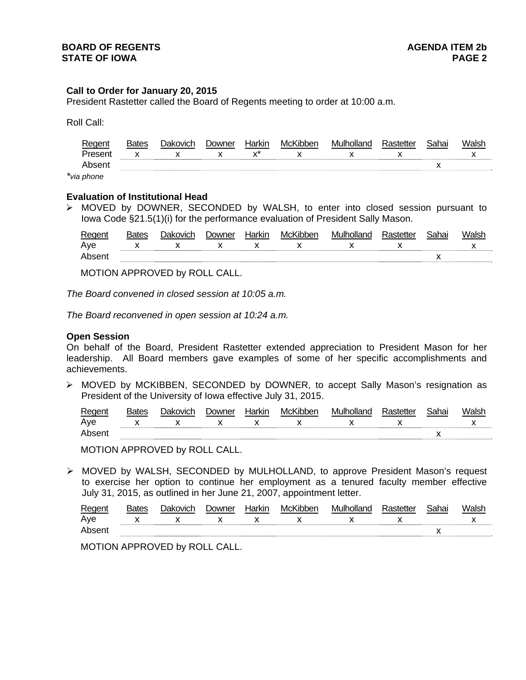### **Call to Order for January 20, 2015**

President Rastetter called the Board of Regents meeting to order at 10:00 a.m.

Roll Call:

| . ANAM'    | Rates | Jakovich | Jowner | ⊣arkın          | McKibben | Mu ilk<br>mlland |     | <b>Cohou</b><br>ai iai |  |
|------------|-------|----------|--------|-----------------|----------|------------------|-----|------------------------|--|
| Present    |       |          | . .    | $\ddotsc$<br>,, | . .      | . .              | . . |                        |  |
|            |       |          |        |                 |          |                  |     |                        |  |
| via nhone. |       |          |        |                 |          |                  |     |                        |  |

*\*via phone* 

#### **Evaluation of Institutional Head**

 MOVED by DOWNER, SECONDED by WALSH, to enter into closed session pursuant to Iowa Code §21.5(1)(i) for the performance evaluation of President Sally Mason.

| Reaent | Bates | Jakovich | Jowner | Harkır | McKibben | Mulholland | Rastetter | Sahai | Walsh |
|--------|-------|----------|--------|--------|----------|------------|-----------|-------|-------|
| Aye    |       |          |        |        |          |            |           |       |       |
| Absen  |       |          |        |        |          |            |           |       |       |

MOTION APPROVED by ROLL CALL.

*The Board convened in closed session at 10:05 a.m.* 

*The Board reconvened in open session at 10:24 a.m.* 

#### **Open Session**

On behalf of the Board, President Rastetter extended appreciation to President Mason for her leadership. All Board members gave examples of some of her specific accomplishments and achievements.

 MOVED by MCKIBBEN, SECONDED by DOWNER, to accept Sally Mason's resignation as President of the University of Iowa effective July 31, 2015.

| Regent | . )akovich | <b>Downer</b> | Harkir | McKibber | Mulholland | Sahai |  |
|--------|------------|---------------|--------|----------|------------|-------|--|
| Ave    |            | . .           |        |          |            |       |  |
| Ahsen  |            |               |        |          |            |       |  |

MOTION APPROVED by ROLL CALL.

 MOVED by WALSH, SECONDED by MULHOLLAND, to approve President Mason's request to exercise her option to continue her employment as a tenured faculty member effective July 31, 2015, as outlined in her June 21, 2007, appointment letter.

| Regent |  | ⊃owner | ⊣arkın | McKibber | Mulholland |  |  |
|--------|--|--------|--------|----------|------------|--|--|
| Ave    |  |        |        |          |            |  |  |
| Ahse   |  |        |        |          |            |  |  |

MOTION APPROVED by ROLL CALL.